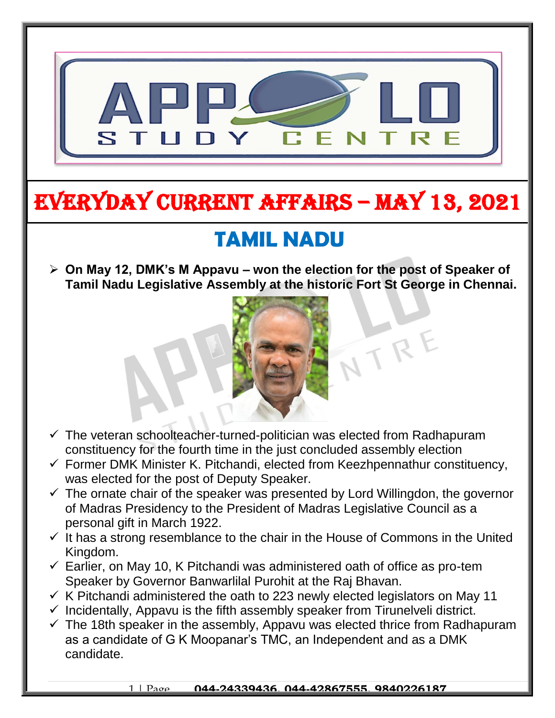

# EVERYDAY CURRENT AFFAIRS – MAY 13, 2021

-

# **TAMIL NADU**

 **On May 12, DMK's M Appavu – won the election for the post of Speaker of Tamil Nadu Legislative Assembly at the historic Fort St George in Chennai.**



NTRE

- $\checkmark$  The veteran schoolteacher-turned-politician was elected from Radhapuram constituency for the fourth time in the just concluded assembly election
- $\checkmark$  Former DMK Minister K. Pitchandi, elected from Keezhpennathur constituency, was elected for the post of Deputy Speaker.
- $\checkmark$  The ornate chair of the speaker was presented by Lord Willingdon, the governor of Madras Presidency to the President of Madras Legislative Council as a personal gift in March 1922.
- $\checkmark$  It has a strong resemblance to the chair in the House of Commons in the United Kingdom.
- $\checkmark$  Earlier, on May 10, K Pitchandi was administered oath of office as pro-tem Speaker by Governor Banwarlilal Purohit at the Raj Bhavan.
- $\checkmark$  K Pitchandi administered the oath to 223 newly elected legislators on May 11
- $\checkmark$  Incidentally, Appavu is the fifth assembly speaker from Tirunelveli district.
- $\checkmark$  The 18th speaker in the assembly, Appavu was elected thrice from Radhapuram as a candidate of G K Moopanar's TMC, an Independent and as a DMK candidate.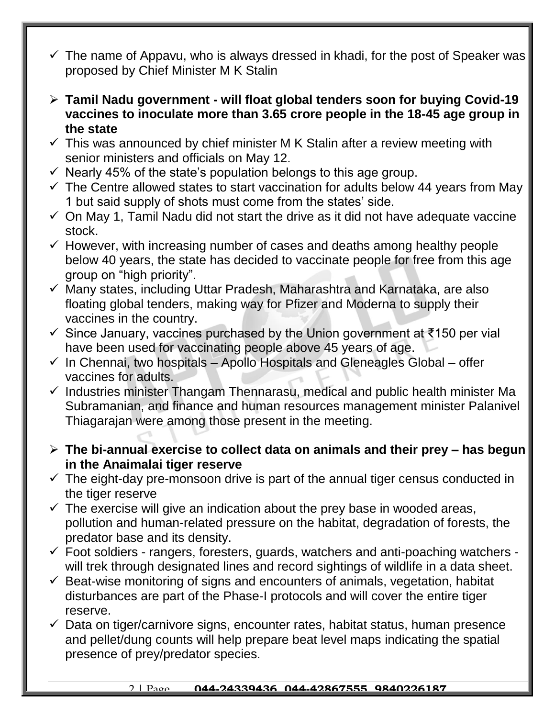- $\checkmark$  The name of Appavu, who is always dressed in khadi, for the post of Speaker was proposed by Chief Minister M K Stalin
- **Tamil Nadu government - will float global tenders soon for buying Covid-19 vaccines to inoculate more than 3.65 crore people in the 18-45 age group in the state**
- $\checkmark$  This was announced by chief minister M K Stalin after a review meeting with senior ministers and officials on May 12.
- $\checkmark$  Nearly 45% of the state's population belongs to this age group.
- $\checkmark$  The Centre allowed states to start vaccination for adults below 44 years from May 1 but said supply of shots must come from the states' side.
- $\checkmark$  On May 1, Tamil Nadu did not start the drive as it did not have adequate vaccine stock.
- $\checkmark$  However, with increasing number of cases and deaths among healthy people below 40 years, the state has decided to vaccinate people for free from this age group on "high priority".
- $\checkmark$  Many states, including Uttar Pradesh, Maharashtra and Karnataka, are also floating global tenders, making way for Pfizer and Moderna to supply their vaccines in the country.
- Since January, vaccines purchased by the Union government at ₹150 per vial have been used for vaccinating people above 45 years of age.
- $\checkmark$  In Chennai, two hospitals Apollo Hospitals and Gleneagles Global offer vaccines for adults.
- $\checkmark$  Industries minister Thangam Thennarasu, medical and public health minister Ma Subramanian, and finance and human resources management minister Palanivel Thiagarajan were among those present in the meeting.
- **The bi-annual exercise to collect data on animals and their prey – has begun in the Anaimalai tiger reserve**
- $\checkmark$  The eight-day pre-monsoon drive is part of the annual tiger census conducted in the tiger reserve
- $\checkmark$  The exercise will give an indication about the prey base in wooded areas, pollution and human-related pressure on the habitat, degradation of forests, the predator base and its density.
- $\checkmark$  Foot soldiers rangers, foresters, guards, watchers and anti-poaching watchers will trek through designated lines and record sightings of wildlife in a data sheet.
- $\checkmark$  Beat-wise monitoring of signs and encounters of animals, vegetation, habitat disturbances are part of the Phase-I protocols and will cover the entire tiger reserve.
- $\checkmark$  Data on tiger/carnivore signs, encounter rates, habitat status, human presence and pellet/dung counts will help prepare beat level maps indicating the spatial presence of prey/predator species.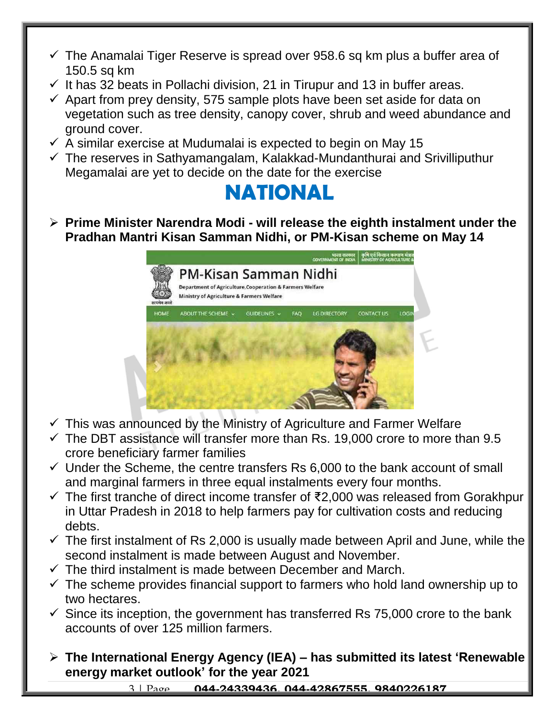- $\checkmark$  The Anamalai Tiger Reserve is spread over 958.6 sq km plus a buffer area of 150.5 sq km
- $\checkmark$  It has 32 beats in Pollachi division, 21 in Tirupur and 13 in buffer areas.
- $\checkmark$  Apart from prey density, 575 sample plots have been set aside for data on vegetation such as tree density, canopy cover, shrub and weed abundance and ground cover.
- $\checkmark$  A similar exercise at Mudumalai is expected to begin on May 15
- $\checkmark$  The reserves in Sathyamangalam, Kalakkad-Mundanthurai and Srivilliputhur Megamalai are yet to decide on the date for the exercise



 **Prime Minister Narendra Modi - will release the eighth instalment under the Pradhan Mantri Kisan Samman Nidhi, or PM-Kisan scheme on May 14**



- $\checkmark$  This was announced by the Ministry of Agriculture and Farmer Welfare
- $\checkmark$  The DBT assistance will transfer more than Rs. 19,000 crore to more than 9.5 crore beneficiary farmer families
- $\checkmark$  Under the Scheme, the centre transfers Rs 6,000 to the bank account of small and marginal farmers in three equal instalments every four months.
- The first tranche of direct income transfer of ₹2,000 was released from Gorakhpur in Uttar Pradesh in 2018 to help farmers pay for cultivation costs and reducing debts.
- $\checkmark$  The first instalment of Rs 2,000 is usually made between April and June, while the second instalment is made between August and November.
- $\checkmark$  The third instalment is made between December and March.
- $\checkmark$  The scheme provides financial support to farmers who hold land ownership up to two hectares.
- $\checkmark$  Since its inception, the government has transferred Rs 75,000 crore to the bank accounts of over 125 million farmers.
- **The International Energy Agency (IEA) – has submitted its latest 'Renewable energy market outlook' for the year 2021**

3 | Page **044-24339436, 044-42867555, 9840226187**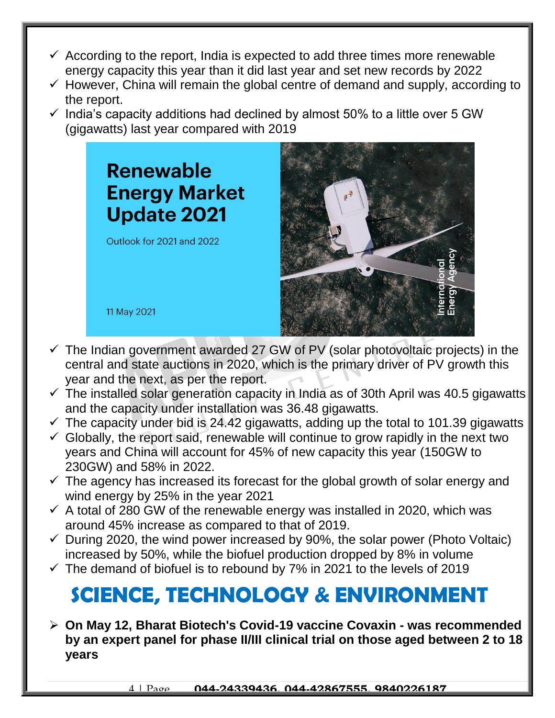- $\checkmark$  According to the report, India is expected to add three times more renewable energy capacity this year than it did last year and set new records by 2022
- $\checkmark$  However, China will remain the global centre of demand and supply, according to the report.
- $\checkmark$  India's capacity additions had declined by almost 50% to a little over 5 GW (gigawatts) last year compared with 2019

## **Renewable Energy Market Update 2021**

Outlook for 2021 and 2022

11 May 2021



- $\checkmark$  The Indian government awarded 27 GW of PV (solar photovoltaic projects) in the central and state auctions in 2020, which is the primary driver of PV growth this year and the next, as per the report.
- $\checkmark$  The installed solar generation capacity in India as of 30th April was 40.5 gigawatts and the capacity under installation was 36.48 gigawatts.
- $\checkmark$  The capacity under bid is 24.42 gigawatts, adding up the total to 101.39 gigawatts
- $\checkmark$  Globally, the report said, renewable will continue to grow rapidly in the next two years and China will account for 45% of new capacity this year (150GW to 230GW) and 58% in 2022.
- $\checkmark$  The agency has increased its forecast for the global growth of solar energy and wind energy by 25% in the year 2021
- $\checkmark$  A total of 280 GW of the renewable energy was installed in 2020, which was around 45% increase as compared to that of 2019.
- $\checkmark$  During 2020, the wind power increased by 90%, the solar power (Photo Voltaic) increased by 50%, while the biofuel production dropped by 8% in volume
- $\checkmark$  The demand of biofuel is to rebound by 7% in 2021 to the levels of 2019

# **SCIENCE, TECHNOLOGY & ENVIRONMENT**

 **On May 12, Bharat Biotech's Covid-19 vaccine Covaxin - was recommended by an expert panel for phase II/III clinical trial on those aged between 2 to 18 years**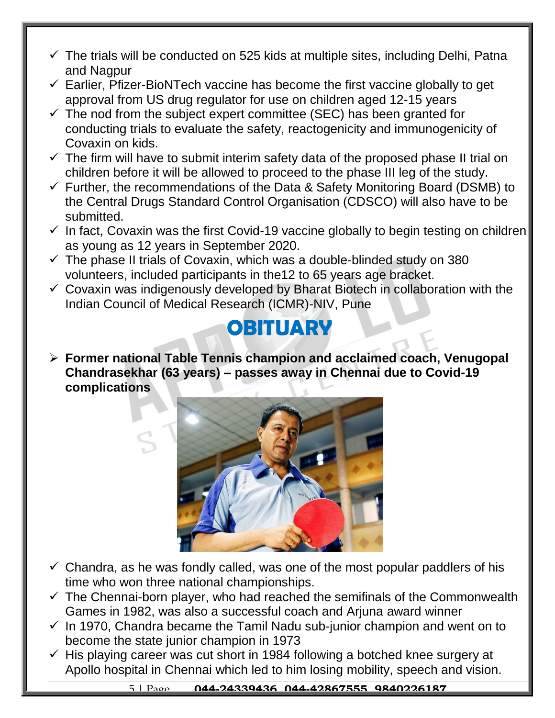- $\checkmark$  The trials will be conducted on 525 kids at multiple sites, including Delhi, Patna and Nagpur
- $\checkmark$  Earlier, Pfizer-BioNTech vaccine has become the first vaccine globally to get approval from US drug regulator for use on children aged 12-15 years
- $\checkmark$  The nod from the subject expert committee (SEC) has been granted for conducting trials to evaluate the safety, reactogenicity and immunogenicity of Covaxin on kids.
- $\checkmark$  The firm will have to submit interim safety data of the proposed phase II trial on children before it will be allowed to proceed to the phase III leg of the study.
- $\checkmark$  Further, the recommendations of the Data & Safety Monitoring Board (DSMB) to the Central Drugs Standard Control Organisation (CDSCO) will also have to be submitted.
- $\checkmark$  In fact, Covaxin was the first Covid-19 vaccine globally to begin testing on children as young as 12 years in September 2020.
- $\checkmark$  The phase II trials of Covaxin, which was a double-blinded study on 380 volunteers, included participants in the12 to 65 years age bracket.
- $\checkmark$  Covaxin was indigenously developed by Bharat Biotech in collaboration with the Indian Council of Medical Research (ICMR)-NIV, Pune

## **OBITUARY**

 **Former national Table Tennis champion and acclaimed coach, Venugopal Chandrasekhar (63 years) – passes away in Chennai due to Covid-19 complications**



- $\checkmark$  Chandra, as he was fondly called, was one of the most popular paddlers of his time who won three national championships.
- $\checkmark$  The Chennai-born player, who had reached the semifinals of the Commonwealth Games in 1982, was also a successful coach and Arjuna award winner
- $\checkmark$  In 1970, Chandra became the Tamil Nadu sub-junior champion and went on to become the state junior champion in 1973
- $\checkmark$  His playing career was cut short in 1984 following a botched knee surgery at Apollo hospital in Chennai which led to him losing mobility, speech and vision.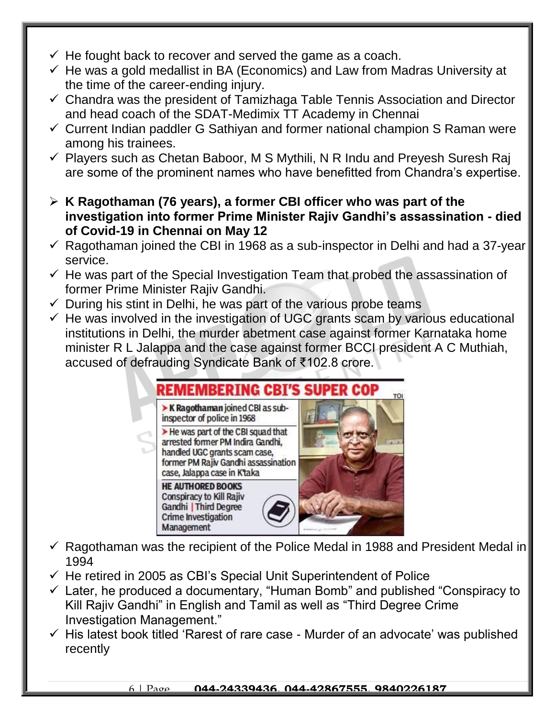- $\checkmark$  He fought back to recover and served the game as a coach.
- $\checkmark$  He was a gold medallist in BA (Economics) and Law from Madras University at the time of the career-ending injury.
- $\checkmark$  Chandra was the president of Tamizhaga Table Tennis Association and Director and head coach of the SDAT-Medimix TT Academy in Chennai
- $\checkmark$  Current Indian paddler G Sathiyan and former national champion S Raman were among his trainees.
- $\checkmark$  Players such as Chetan Baboor, M S Mythili, N R Indu and Preyesh Suresh Raj are some of the prominent names who have benefitted from Chandra's expertise.
- **K Ragothaman (76 years), a former CBI officer who was part of the investigation into former Prime Minister Rajiv Gandhi's assassination - died of Covid-19 in Chennai on May 12**
- $\checkmark$  Ragothaman joined the CBI in 1968 as a sub-inspector in Delhi and had a 37-year service.
- $\checkmark$  He was part of the Special Investigation Team that probed the assassination of former Prime Minister Rajiv Gandhi.
- $\checkmark$  During his stint in Delhi, he was part of the various probe teams
- $\checkmark$  He was involved in the investigation of UGC grants scam by various educational institutions in Delhi, the murder abetment case against former Karnataka home minister R L Jalappa and the case against former BCCI president A C Muthiah, accused of defrauding Syndicate Bank of ₹102.8 crore.

### REMEMBERING CBI'S S TOI K Ragothaman joined CBI as subinspector of police in 1968 > He was part of the CBI squad that arrested former PM Indira Gandhi, handled UGC grants scam case, former PM Rajiv Gandhi assassination case, Jalappa case in K'taka **HE AUTHORED BOOKS Conspiracy to Kill Rajiv Gandhi | Third Degree**

 $\checkmark$  Ragothaman was the recipient of the Police Medal in 1988 and President Medal in 1994

 $\checkmark$  He retired in 2005 as CBI's Special Unit Superintendent of Police

**Crime Investigation** Management

- $\checkmark$  Later, he produced a documentary, "Human Bomb" and published "Conspiracy to Kill Rajiv Gandhi" in English and Tamil as well as "Third Degree Crime Investigation Management."
- $\checkmark$  His latest book titled 'Rarest of rare case Murder of an advocate' was published recently